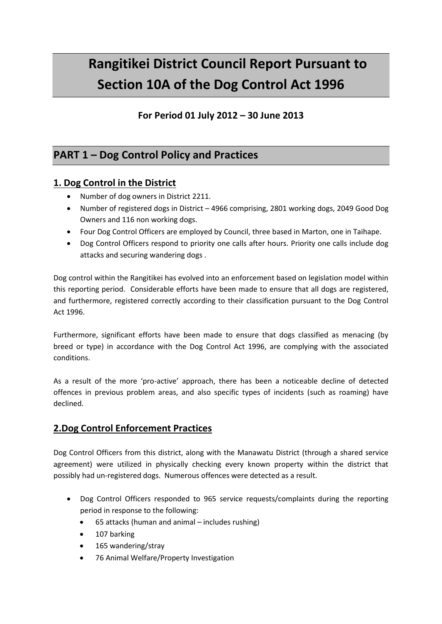# **Rangitikei District Council Report Pursuant to Section 10A of the Dog Control Act 1996**

### **For Period 01 July 2012 – 30 June 2013**

## **PART 1 – Dog Control Policy and Practices**

#### **1. Dog Control in the District**

- Number of dog owners in District 2211.
- Number of registered dogs in District 4966 comprising, 2801 working dogs, 2049 Good Dog Owners and 116 non working dogs.
- Four Dog Control Officers are employed by Council, three based in Marton, one in Taihape.
- Dog Control Officers respond to priority one calls after hours. Priority one calls include dog attacks and securing wandering dogs .

Dog control within the Rangitikei has evolved into an enforcement based on legislation model within this reporting period. Considerable efforts have been made to ensure that all dogs are registered, and furthermore, registered correctly according to their classification pursuant to the Dog Control Act 1996.

Furthermore, significant efforts have been made to ensure that dogs classified as menacing (by breed or type) in accordance with the Dog Control Act 1996, are complying with the associated conditions.

As a result of the more 'pro-active' approach, there has been a noticeable decline of detected offences in previous problem areas, and also specific types of incidents (such as roaming) have declined.

#### **2.Dog Control Enforcement Practices**

Dog Control Officers from this district, along with the Manawatu District (through a shared service agreement) were utilized in physically checking every known property within the district that possibly had un-registered dogs. Numerous offences were detected as a result.

- Dog Control Officers responded to 965 service requests/complaints during the reporting period in response to the following:
	- 65 attacks (human and animal includes rushing)
	- 107 barking
	- 165 wandering/stray
	- 76 Animal Welfare/Property Investigation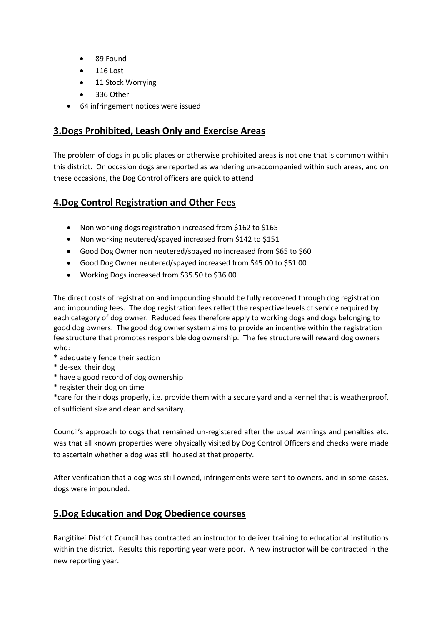- 89 Found
- 116 Lost
- 11 Stock Worrying
- 336 Other
- 64 infringement notices were issued

#### **3.Dogs Prohibited, Leash Only and Exercise Areas**

The problem of dogs in public places or otherwise prohibited areas is not one that is common within this district. On occasion dogs are reported as wandering un-accompanied within such areas, and on these occasions, the Dog Control officers are quick to attend

#### **4.Dog Control Registration and Other Fees**

- Non working dogs registration increased from \$162 to \$165
- Non working neutered/spayed increased from \$142 to \$151
- Good Dog Owner non neutered/spayed no increased from \$65 to \$60
- Good Dog Owner neutered/spayed increased from \$45.00 to \$51.00
- Working Dogs increased from \$35.50 to \$36.00

The direct costs of registration and impounding should be fully recovered through dog registration and impounding fees. The dog registration fees reflect the respective levels of service required by each category of dog owner. Reduced fees therefore apply to working dogs and dogs belonging to good dog owners. The good dog owner system aims to provide an incentive within the registration fee structure that promotes responsible dog ownership. The fee structure will reward dog owners who:

- \* adequately fence their section
- \* de-sex their dog
- \* have a good record of dog ownership
- \* register their dog on time

\*care for their dogs properly, i.e. provide them with a secure yard and a kennel that is weatherproof, of sufficient size and clean and sanitary.

Council's approach to dogs that remained un-registered after the usual warnings and penalties etc. was that all known properties were physically visited by Dog Control Officers and checks were made to ascertain whether a dog was still housed at that property.

After verification that a dog was still owned, infringements were sent to owners, and in some cases, dogs were impounded.

#### **5.Dog Education and Dog Obedience courses**

Rangitikei District Council has contracted an instructor to deliver training to educational institutions within the district. Results this reporting year were poor. A new instructor will be contracted in the new reporting year.